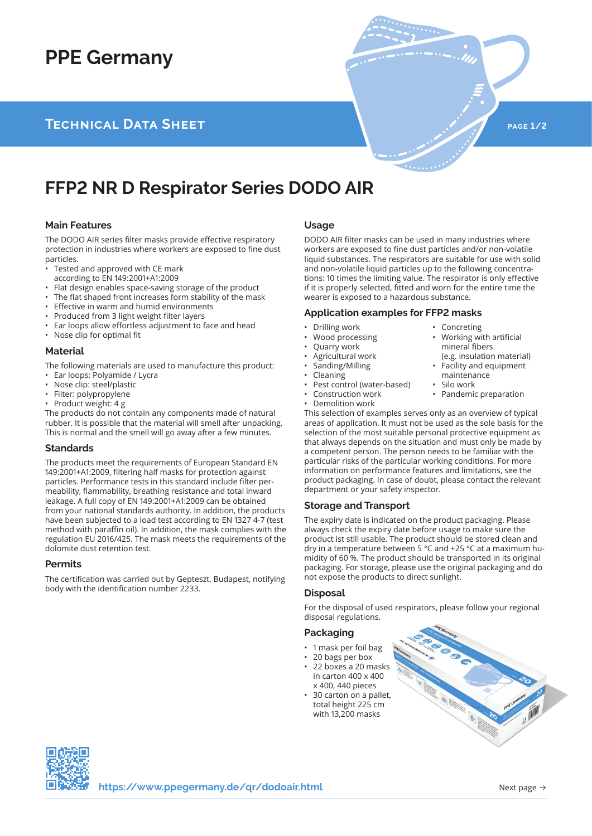# **PPE Germany**

## **TECHNICAL DATA SHEET page 1/2 page 1/2**

## **FFP2 NR D Respirator Series DODO AIR**

#### **Main Features**

The DODO AIR series filter masks provide effective respiratory protection in industries where workers are exposed to fine dust particles.

- Tested and approved with CE mark
- according to EN 149:2001+A1:2009
- Flat design enables space-saving storage of the product
- The flat shaped front increases form stability of the mask
- Effective in warm and humid environments
- Produced from 3 light weight filter layers
- Ear loops allow effortless adjustment to face and head
- Nose clip for optimal fit

#### **Material**

The following materials are used to manufacture this product: • Ear loops: Polyamide / Lycra

- Nose clip: steel/plastic
- Filter: polypropylene
- Product weight: 4 g

The products do not contain any components made of natural rubber. It is possible that the material will smell after unpacking. This is normal and the smell will go away after a few minutes.

### **Standards**

The products meet the requirements of European Standard EN 149:2001+A1:2009, filtering half masks for protection against particles. Performance tests in this standard include filter permeability, flammability, breathing resistance and total inward leakage. A full copy of EN 149:2001+A1:2009 can be obtained from your national standards authority. In addition, the products have been subjected to a load test according to EN 1327 4-7 (test method with paraffin oil). In addition, the mask complies with the regulation EU 2016/425. The mask meets the requirements of the dolomite dust retention test.

#### **Permits**

The certification was carried out by Gepteszt, Budapest, notifying body with the identification number 2233.

#### **Usage**

DODO AIR filter masks can be used in many industries where workers are exposed to fine dust particles and/or non-volatile liquid substances. The respirators are suitable for use with solid and non-volatile liquid particles up to the following concentrations: 10 times the limiting value. The respirator is only effective if it is properly selected, fitted and worn for the entire time the wearer is exposed to a hazardous substance.

• Concreting

• Working with artificial mineral fibers

• Pandemic preparation

(e.g. insulation material) • Facility and equipment maintenance Silo work

#### **Application examples for FFP2 masks**

- Drilling work
- Wood processing
- Quarry work
- Agricultural work
- Sanding/Milling
- **Cleaning**
- Pest control (water-based)
- Construction work
- Demolition work

This selection of examples serves only as an overview of typical areas of application. It must not be used as the sole basis for the selection of the most suitable personal protective equipment as that always depends on the situation and must only be made by a competent person. The person needs to be familiar with the particular risks of the particular working conditions. For more information on performance features and limitations, see the product packaging. In case of doubt, please contact the relevant department or your safety inspector.

#### **Storage and Transport**

The expiry date is indicated on the product packaging. Please always check the expiry date before usage to make sure the product ist still usable. The product should be stored clean and dry in a temperature between 5 °C and +25 °C at a maximum humidity of 60 %. The product should be transported in its original packaging. For storage, please use the original packaging and do not expose the products to direct sunlight.

#### **Disposal**

For the disposal of used respirators, please follow your regional disposal regulations.

### **Packaging**

- 1 mask per foil bag
- 20 bags per box
- 22 boxes a 20 masks in carton 400 x 400 x 400, 440 pieces
- 30 carton on a pallet, total height 225 cm with 13,200 masks